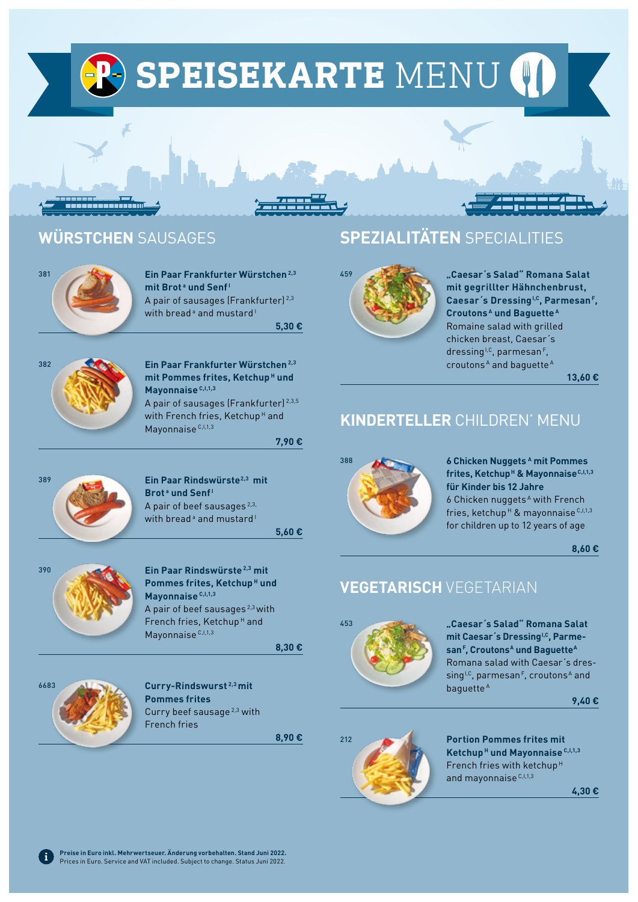**(P) SPEISEKARTE MENU (I)** 

# **WÜRSTCHEN** SAUSAGES



381 **Ein Paar Frankfurter Würstchen 2,3 mit Brot<sup>a</sup> und Senf<sup>1</sup>** A pair of sausages (Frankfurter)<sup>2,3</sup> with bread<sup>®</sup> and mustard<sup>1</sup>

**5,30 €** 



382 **Ein Paar Frankfurter Würstchen 2,3 mit Pommes frites, Ketchup H und Mayonnaise C,I,1,3**

> A pair of sausages (Frankfurter) 2,3,5 with French fries, Ketchup<sup>H</sup> and Mayonnaise<sup>C, I, 1, 3</sup>

> > **7,90 €**



**Brot<sup>a</sup>** und Senf<sup>1</sup> A pair of beef sausages<sup>2,3,</sup> with bread<sup>®</sup> and mustard<sup>1</sup>

**5,60 €** 



390 **Ein Paar Rindswürste2,3 mit Pommes frites, Ketchup<sup>H</sup> und Mayonnaise C,I,1,3** A pair of beef sausages 2,3 with French fries, Ketchup<sup>H</sup> and Mayonnaise<sup>C, 1,1,3</sup>

**8,30 €** 



**Pommes frites**  Curry beef sausage 2,3 with French fries

**8,90 €** 

# **SPEZIALITÄTEN** SPECIALITIES



459 **"Caesar´s Salad" Romana Salat mit gegrillter Hähnchenbrust,**  Caesar's Dressing<sup>1,C</sup>, Parmesan<sup>F</sup>, **Croutons A und Baguette <sup>A</sup>** Romaine salad with grilled chicken breast, Caesar´s  $d$ ressing<sup>i,c</sup>, parmesan<sup>F</sup>, croutons<sup>A</sup> and baguette<sup>A</sup>

**13,60 €**

# **KINDERTELLER** CHILDREN' MENU



388 **6 Chicken Nuggets A mit Pommes**  frites, Ketchup<sup>H</sup> & Mayonnaise<sup>C, I, 1,3</sup> **für Kinder bis 12 Jahre** 6 Chicken nuggets A with French fries, ketchup<sup>H</sup> & mayonnaise<sup>C,I,1,3</sup> for children up to 12 years of age

**8,60 €** 

# **VEGETARISCH** VEGETARIAN



mit Caesar's Dressing<sup>1,C</sup>, Parmesan<sup>F</sup>, Croutons<sup>A</sup> und Baguette<sup>A</sup> Romana salad with Caesar´s dressing<sup>I,C</sup>, parmesan<sup>F</sup>, croutons<sup>A</sup> and baguette<sup>A</sup>

**9,40 €**



212 **Portion Pommes frites mit Ketchup H und Mayonnaise C,I,1,3** French fries with ketchup<sup>H</sup> and mayonnaise C, I, 1, 3

**4,30 €**